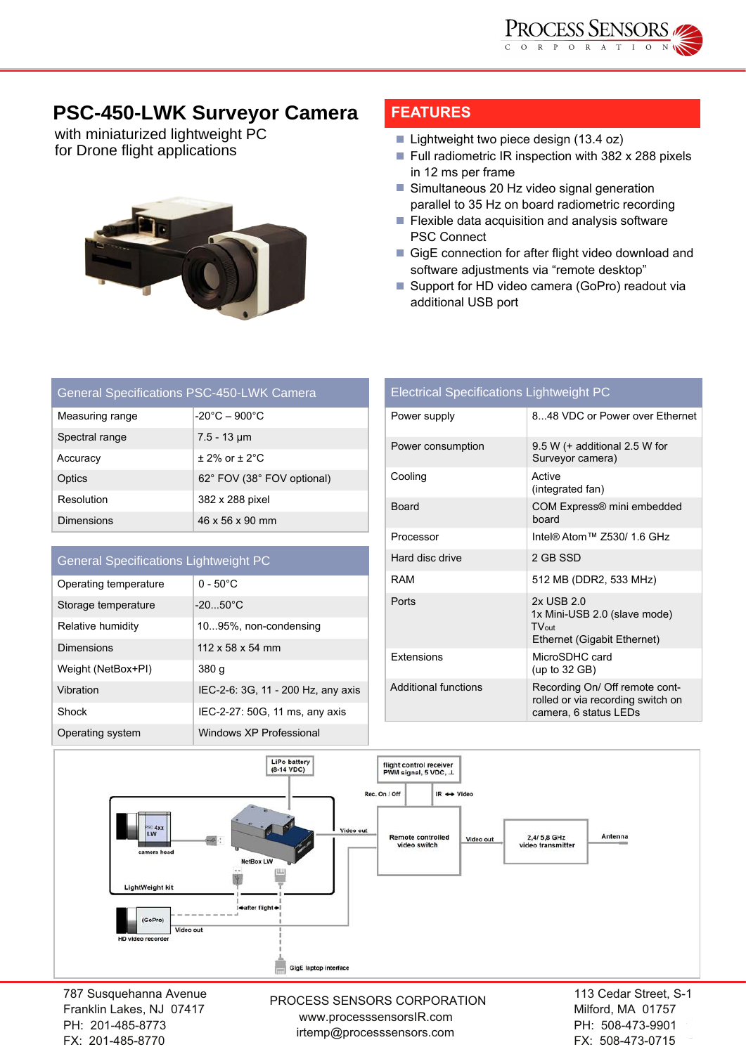

## **PSC-450-LWK Surveyor Camera**

with miniaturized lightweight PC for Drone flight applications



## **FEATURES**

- Lightweight two piece design (13.4 oz)
- Full radiometric IR inspection with 382 x 288 pixels in 12 ms per frame
- Simultaneous 20 Hz video signal generation parallel to 35 Hz on board radiometric recording
- PSC Connect  $\blacksquare$  Flexible data acquisition and analysis software
- GigE connection for after flight video download and software adjustments via "remote desktop"
- Support for HD video camera (GoPro) readout via additional USB port

| <b>General Specifications PSC-450-LWK Camera</b> |                                    |  |
|--------------------------------------------------|------------------------------------|--|
| Measuring range                                  | $-20^{\circ}$ C – 900 $^{\circ}$ C |  |
| Spectral range                                   | $7.5 - 13 \,\mu m$                 |  |
| Accuracy                                         | $\pm$ 2% or $\pm$ 2°C              |  |
| Optics                                           | 62° FOV (38° FOV optional)         |  |
| Resolution                                       | 382 x 288 pixel                    |  |
| <b>Dimensions</b>                                | 46 x 56 x 90 mm                    |  |

## General Specifications Lightweight PC

| Operating temperature | $0 - 50^{\circ}$ C                 |
|-----------------------|------------------------------------|
| Storage temperature   | $-20.50^{\circ}$ C                 |
| Relative humidity     | 1095%, non-condensing              |
| Dimensions            | $112 \times 58 \times 54$ mm       |
| Weight (NetBox+PI)    | 380 g                              |
| Vibration             | IEC-2-6: 3G, 11 - 200 Hz, any axis |
| Shock                 | IEC-2-27: 50G, 11 ms, any axis     |
| Operating system      | Windows XP Professional            |

| <b>Electrical Specifications Lightweight PC</b> |                                                                                              |
|-------------------------------------------------|----------------------------------------------------------------------------------------------|
| Power supply                                    | 8.48 VDC or Power over Ethernet                                                              |
| Power consumption                               | $9.5 W$ (+ additional 2.5 W for<br>Surveyor camera)                                          |
| Cooling                                         | Active<br>(integrated fan)                                                                   |
| Board                                           | COM Express® mini embedded<br>board                                                          |
| Processor                                       | Intel® Atom™ 7530/ 1.6 GHz                                                                   |
| Hard disc drive                                 | 2 GB SSD                                                                                     |
| <b>RAM</b>                                      | 512 MB (DDR2, 533 MHz)                                                                       |
| Ports                                           | 2x USB 2.0<br>1x Mini-USB 2.0 (slave mode)<br>$TV_{out}$<br>Ethernet (Gigabit Ethernet)      |
| <b>Extensions</b>                               | MicroSDHC card<br>(up to $32$ GB)                                                            |
| Additional functions                            | Recording On/ Off remote cont-<br>rolled or via recording switch on<br>camera, 6 status LEDs |



787 Susquehanna Avenue Franklin Lakes, NJ 07417 PH: 201-485-8773 FX: 201-485-8770

PROCESS SENSORS CORPORATION<br>Milford MA 01757 www.processsensorsIR.com irtemp@processsensors.com

113 Cedar Street, S-1 Milford, MA 01757 PH: 508-473-9901 FX: 508-473-0715